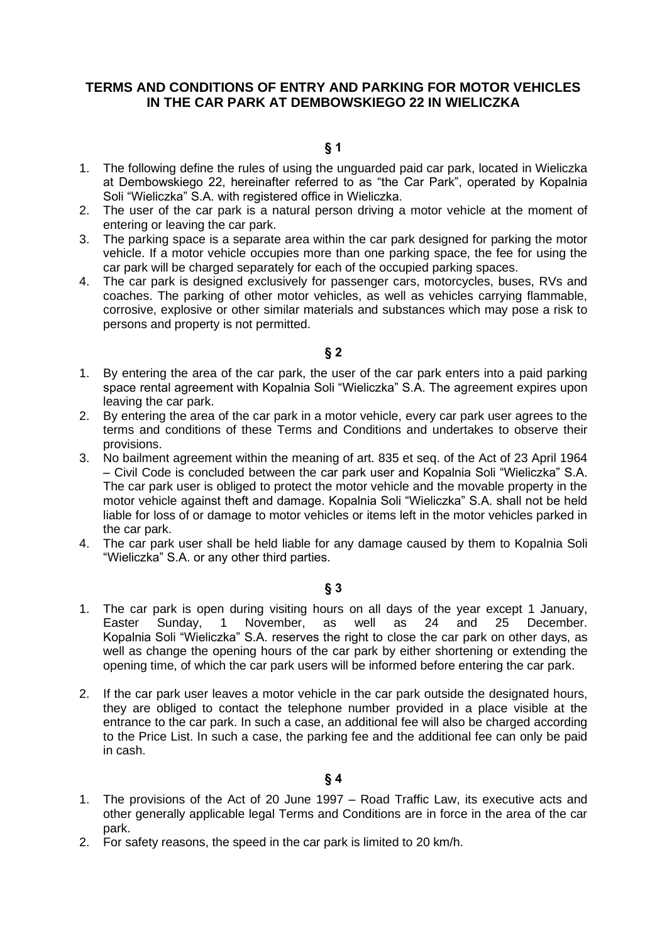## **TERMS AND CONDITIONS OF ENTRY AND PARKING FOR MOTOR VEHICLES IN THE CAR PARK AT DEMBOWSKIEGO 22 IN WIELICZKA**

- 1. The following define the rules of using the unguarded paid car park, located in Wieliczka at Dembowskiego 22, hereinafter referred to as "the Car Park", operated by Kopalnia Soli "Wieliczka" S.A. with registered office in Wieliczka.
- 2. The user of the car park is a natural person driving a motor vehicle at the moment of entering or leaving the car park.
- 3. The parking space is a separate area within the car park designed for parking the motor vehicle. If a motor vehicle occupies more than one parking space, the fee for using the car park will be charged separately for each of the occupied parking spaces.
- 4. The car park is designed exclusively for passenger cars, motorcycles, buses, RVs and coaches. The parking of other motor vehicles, as well as vehicles carrying flammable, corrosive, explosive or other similar materials and substances which may pose a risk to persons and property is not permitted.
	- **§ 2**
- 1. By entering the area of the car park, the user of the car park enters into a paid parking space rental agreement with Kopalnia Soli "Wieliczka" S.A. The agreement expires upon leaving the car park.
- 2. By entering the area of the car park in a motor vehicle, every car park user agrees to the terms and conditions of these Terms and Conditions and undertakes to observe their provisions.
- 3. No bailment agreement within the meaning of art. 835 et seq. of the Act of 23 April 1964 – Civil Code is concluded between the car park user and Kopalnia Soli "Wieliczka" S.A. The car park user is obliged to protect the motor vehicle and the movable property in the motor vehicle against theft and damage. Kopalnia Soli "Wieliczka" S.A. shall not be held liable for loss of or damage to motor vehicles or items left in the motor vehicles parked in the car park.
- 4. The car park user shall be held liable for any damage caused by them to Kopalnia Soli "Wieliczka" S.A. or any other third parties.

## **§ 3**

- 1. The car park is open during visiting hours on all days of the year except 1 January, Easter Sunday, 1 November, as well as 24 and 25 December. Kopalnia Soli "Wieliczka" S.A. reserves the right to close the car park on other days, as well as change the opening hours of the car park by either shortening or extending the opening time, of which the car park users will be informed before entering the car park.
- 2. If the car park user leaves a motor vehicle in the car park outside the designated hours, they are obliged to contact the telephone number provided in a place visible at the entrance to the car park. In such a case, an additional fee will also be charged according to the Price List. In such a case, the parking fee and the additional fee can only be paid in cash.

- 1. The provisions of the Act of 20 June 1997 Road Traffic Law, its executive acts and other generally applicable legal Terms and Conditions are in force in the area of the car park.
- 2. For safety reasons, the speed in the car park is limited to 20 km/h.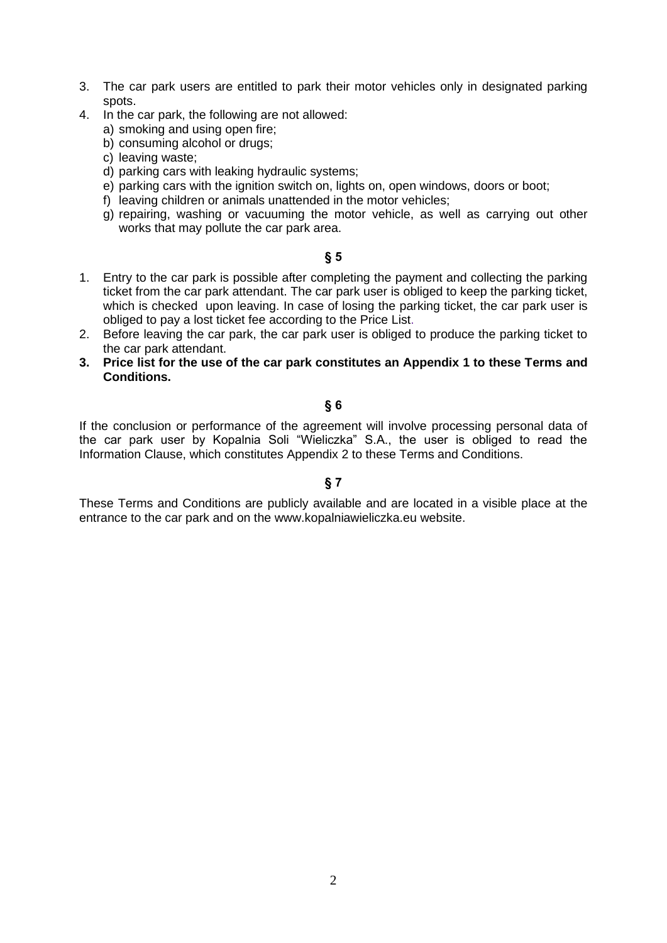- 3. The car park users are entitled to park their motor vehicles only in designated parking spots.
- 4. In the car park, the following are not allowed:
	- a) smoking and using open fire;
	- b) consuming alcohol or drugs;
	- c) leaving waste;
	- d) parking cars with leaking hydraulic systems;
	- e) parking cars with the ignition switch on, lights on, open windows, doors or boot;
	- f) leaving children or animals unattended in the motor vehicles;
	- g) repairing, washing or vacuuming the motor vehicle, as well as carrying out other works that may pollute the car park area.

#### **§ 5**

- 1. Entry to the car park is possible after completing the payment and collecting the parking ticket from the car park attendant. The car park user is obliged to keep the parking ticket, which is checked upon leaving. In case of losing the parking ticket, the car park user is obliged to pay a lost ticket fee according to the Price List.
- 2. Before leaving the car park, the car park user is obliged to produce the parking ticket to the car park attendant.
- **3. Price list for the use of the car park constitutes an Appendix 1 to these Terms and Conditions.**

#### **§ 6**

If the conclusion or performance of the agreement will involve processing personal data of the car park user by Kopalnia Soli "Wieliczka" S.A., the user is obliged to read the Information Clause, which constitutes Appendix 2 to these Terms and Conditions.

## **§ 7**

These Terms and Conditions are publicly available and are located in a visible place at the entrance to the car park and on the www.kopalniawieliczka.eu website.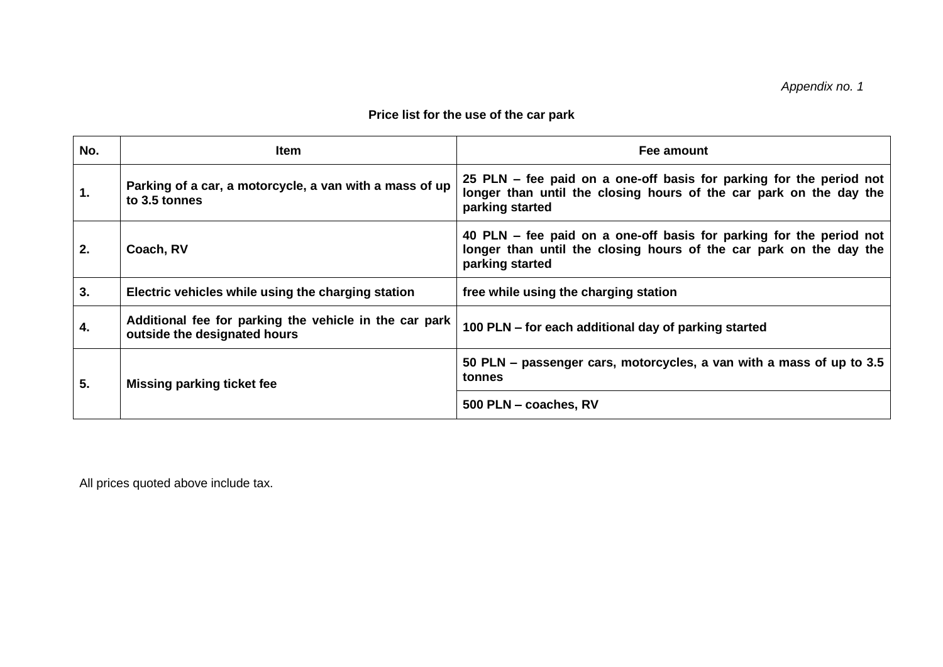# **Price list for the use of the car park**

| No. | <b>Item</b>                                                                            | Fee amount                                                                                                                                                   |
|-----|----------------------------------------------------------------------------------------|--------------------------------------------------------------------------------------------------------------------------------------------------------------|
| 1.  | Parking of a car, a motorcycle, a van with a mass of up<br>to 3.5 tonnes               | 25 PLN – fee paid on a one-off basis for parking for the period not<br>longer than until the closing hours of the car park on the day the<br>parking started |
| 2.  | Coach, RV                                                                              | 40 PLN – fee paid on a one-off basis for parking for the period not<br>longer than until the closing hours of the car park on the day the<br>parking started |
| 3.  | Electric vehicles while using the charging station                                     | free while using the charging station                                                                                                                        |
| 4.  | Additional fee for parking the vehicle in the car park<br>outside the designated hours | 100 PLN – for each additional day of parking started                                                                                                         |
| 5.  | <b>Missing parking ticket fee</b>                                                      | 50 PLN – passenger cars, motorcycles, a van with a mass of up to 3.5<br>tonnes                                                                               |
|     |                                                                                        | 500 PLN - coaches, RV                                                                                                                                        |

All prices quoted above include tax.